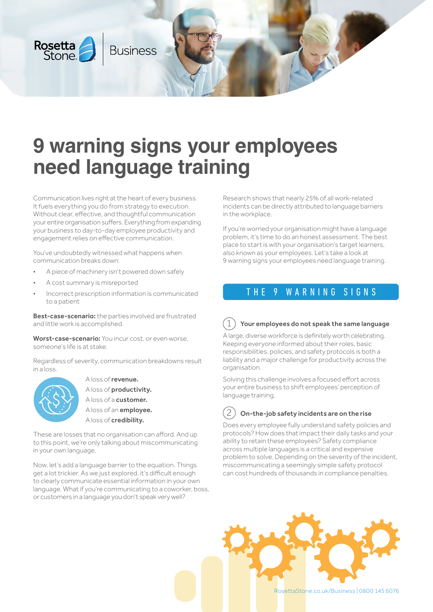

# **9 warning signs your employees need language training**

Communication lives right at the heart of every business. It fuels everything you do from strategy to execution. Without clear, effective, and thoughtful communication your entire organisation suffers. Everything from expanding your business to day-to-day employee productivity and engagement relies on effective communication.

You've undoubtedly witnessed what happens when communication breaks down:

- A piece of machinery isn't powered down safely
- A cost summary is misreported
- Incorrect prescription information is communicated to a patient

**Best-case-scenario:** the parties involved are frustrated and little work is accomplished.

Worst-case-scenario: You incur cost, or even worse, someone's life is at stake.

Regardless of severity, communication breakdowns result in a loss.



 A loss of revenue. A loss of productivity. A loss of a customer. A loss of an employee. A loss of credibility.

These are losses that no organisation can afford. And up to this point, we're only talking about miscommunicating in your own language.

Now, let's add a language barrier to the equation. Things get a lot trickier. As we just explored, it's difficult enough to clearly communicate essential information in your own language. What if you're communicating to a coworker, boss, or customers in a language you don't speak very well?

Research shows that nearly 25% of all work-related incidents can be directly attributed to language barriers in the workplace.

If you're worried your organisation might have a language problem, it's time to do an honest assessment. The best place to start is with your organisation's target learners, also known as your employees. Let's take a look at 9 warning signs your employees need language training.

# THE 9 WARNING SIGNS

#### 1 Your employees do not speak the same language

A large, diverse workforce is definitely worth celebrating. Keeping everyone informed about their roles, basic responsibilities, policies, and safety protocols is both a liability and a major challenge for productivity across the organisation.

Solving this challenge involves a focused effort across your entire business to shift employees' perception of language training.

2

# On-the-job safety incidents are on the rise

Does every employee fully understand safety policies and protocols? How does that impact their daily tasks and your ability to retain these employees? Safety compliance across multiple languages is a critical and expensive problem to solve. Depending on the severity of the incident, miscommunicating a seemingly simple safety protocol can cost hundreds of thousands in compliance penalties.